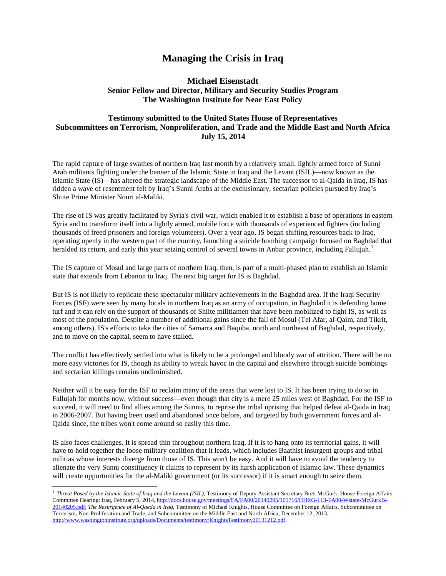## **Managing the Crisis in Iraq**

## **Michael Eisenstadt Senior Fellow and Director, Military and Security Studies Program The Washington Institute for Near East Policy**

## **Testimony submitted to the United States House of Representatives Subcommittees on Terrorism, Nonproliferation, and Trade and the Middle East and North Africa July 15, 2014**

The rapid capture of large swathes of northern Iraq last month by a relatively small, lightly armed force of Sunni Arab militants fighting under the banner of the Islamic State in Iraq and the Levant (ISIL)—now known as the Islamic State (IS)—has altered the strategic landscape of the Middle East. The successor to al-Qaida in Iraq, IS has ridden a wave of resentment felt by Iraq's Sunni Arabs at the exclusionary, sectarian policies pursued by Iraq's Shiite Prime Minister Nouri al-Maliki.

The rise of IS was greatly facilitated by Syria's civil war, which enabled it to establish a base of operations in eastern Syria and to transform itself into a lightly armed, mobile force with thousands of experienced fighters (including thousands of freed prisoners and foreign volunteers). Over a year ago, IS began shifting resources back to Iraq, operating openly in the western part of the country, launching a suicide bombing campaign focused on Baghdad that heralded its return, and early this year seizing control of several towns in Anbar province, including Fallujah.<sup>[1](#page-0-0)</sup>

The IS capture of Mosul and large parts of northern Iraq, then, is part of a multi-phased plan to establish an Islamic state that extends from Lebanon to Iraq. The next big target for IS is Baghdad.

But IS is not likely to replicate these spectacular military achievements in the Baghdad area. If the Iraqi Security Forces (ISF) were seen by many locals in northern Iraq as an army of occupation, in Baghdad it is defending home turf and it can rely on the support of thousands of Shiite militiamen that have been mobilized to fight IS, as well as most of the population. Despite a number of additional gains since the fall of Mosul (Tel Afar, al-Qaim, and Tikrit, among others), IS's efforts to take the cities of Samarra and Baquba, north and northeast of Baghdad, respectively, and to move on the capital, seem to have stalled.

The conflict has effectively settled into what is likely to be a prolonged and bloody war of attrition. There will be no more easy victories for IS, though its ability to wreak havoc in the capital and elsewhere through suicide bombings and sectarian killings remains undiminished.

Neither will it be easy for the ISF to reclaim many of the areas that were lost to IS. It has been trying to do so in Fallujah for months now, without success—even though that city is a mere 25 miles west of Baghdad. For the ISF to succeed, it will need to find allies among the Sunnis, to reprise the tribal uprising that helped defeat al-Qaida in Iraq in 2006-2007. But having been used and abandoned once before, and targeted by both government forces and al-Qaida since, the tribes won't come around so easily this time.

IS also faces challenges. It is spread thin throughout northern Iraq. If it is to hang onto its territorial gains, it will have to hold together the loose military coalition that it leads, which includes Baathist insurgent groups and tribal militias whose interests diverge from those of IS. This won't be easy. And it will have to avoid the tendency to alienate the very Sunni constituency it claims to represent by its harsh application of Islamic law. These dynamics will create opportunities for the al-Maliki government (or its successor) if it is smart enough to seize them.

l

<span id="page-0-0"></span><sup>&</sup>lt;sup>1</sup> *Threat Posed by the Islamic State of Iraq and the Levant (ISIL)*, Testimony of Deputy Assistant Secretary Brett McGurk, House Foreign Affairs Committee Hearing: Iraq, February 5, 2014[, http://docs.house.gov/meetings/FA/FA00/20140205/101716/HHRG-113-FA00-Wstate-McGurkB-](http://docs.house.gov/meetings/FA/FA00/20140205/101716/HHRG-113-FA00-Wstate-McGurkB-20140205.pdf)[20140205.pdf;](http://docs.house.gov/meetings/FA/FA00/20140205/101716/HHRG-113-FA00-Wstate-McGurkB-20140205.pdf) *The Resurgence of Al-Qaeda in Iraq*, Testimony of Michael Knights, House Committee on Foreign Affairs, Subcommittee on Terrorism, Non-Proliferation and Trade, and Subcommittee on the Middle East and North Africa, December 12, 2013, [http://www.washingtoninstitute.org/uploads/Documents/testimony/KnightsTestimony20131212.pdf.](http://www.washingtoninstitute.org/uploads/Documents/testimony/KnightsTestimony20131212.pdf)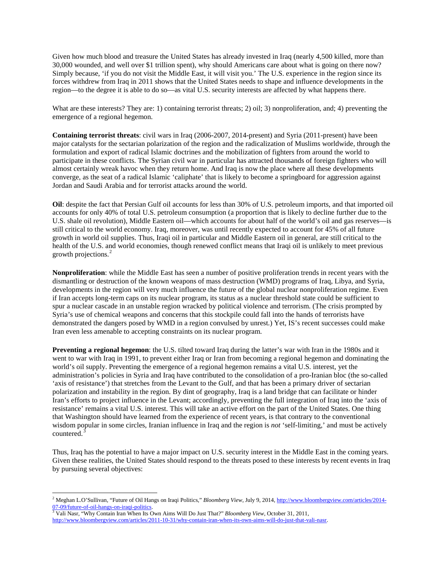Given how much blood and treasure the United States has already invested in Iraq (nearly 4,500 killed, more than 30,000 wounded, and well over \$1 trillion spent), why should Americans care about what is going on there now? Simply because, 'if you do not visit the Middle East, it will visit you.' The U.S. experience in the region since its forces withdrew from Iraq in 2011 shows that the United States needs to shape and influence developments in the region—to the degree it is able to do so—as vital U.S. security interests are affected by what happens there.

What are these interests? They are: 1) containing terrorist threats; 2) oil; 3) nonproliferation, and; 4) preventing the emergence of a regional hegemon.

**Containing terrorist threats**: civil wars in Iraq (2006-2007, 2014-present) and Syria (2011-present) have been major catalysts for the sectarian polarization of the region and the radicalization of Muslims worldwide, through the formulation and export of radical Islamic doctrines and the mobilization of fighters from around the world to participate in these conflicts. The Syrian civil war in particular has attracted thousands of foreign fighters who will almost certainly wreak havoc when they return home. And Iraq is now the place where all these developments converge, as the seat of a radical Islamic 'caliphate' that is likely to become a springboard for aggression against Jordan and Saudi Arabia and for terrorist attacks around the world.

**Oil**: despite the fact that Persian Gulf oil accounts for less than 30% of U.S. petroleum imports, and that imported oil accounts for only 40% of total U.S. petroleum consumption (a proportion that is likely to decline further due to the U.S. shale oil revolution), Middle Eastern oil—which accounts for about half of the world's oil and gas reserves—is still critical to the world economy. Iraq, moreover, was until recently expected to account for 45% of all future growth in world oil supplies. Thus, Iraqi oil in particular and Middle Eastern oil in general, are still critical to the health of the U.S. and world economies, though renewed conflict means that Iraqi oil is unlikely to meet previous growth projections.<sup>[2](#page-1-0)</sup>

**Nonproliferation**: while the Middle East has seen a number of positive proliferation trends in recent years with the dismantling or destruction of the known weapons of mass destruction (WMD) programs of Iraq, Libya, and Syria, developments in the region will very much influence the future of the global nuclear nonproliferation regime. Even if Iran accepts long-term caps on its nuclear program, its status as a nuclear threshold state could be sufficient to spur a nuclear cascade in an unstable region wracked by political violence and terrorism. (The crisis prompted by Syria's use of chemical weapons and concerns that this stockpile could fall into the hands of terrorists have demonstrated the dangers posed by WMD in a region convulsed by unrest.) Yet, IS's recent successes could make Iran even less amenable to accepting constraints on its nuclear program.

**Preventing a regional hegemon**: the U.S. tilted toward Iraq during the latter's war with Iran in the 1980s and it went to war with Iraq in 1991, to prevent either Iraq or Iran from becoming a regional hegemon and dominating the world's oil supply. Preventing the emergence of a regional hegemon remains a vital U.S. interest, yet the administration's policies in Syria and Iraq have contributed to the consolidation of a pro-Iranian bloc (the so-called 'axis of resistance') that stretches from the Levant to the Gulf, and that has been a primary driver of sectarian polarization and instability in the region. By dint of geography, Iraq is a land bridge that can facilitate or hinder Iran's efforts to project influence in the Levant; accordingly, preventing the full integration of Iraq into the 'axis of resistance' remains a vital U.S. interest. This will take an active effort on the part of the United States. One thing that Washington should have learned from the experience of recent years, is that contrary to the conventional wisdom popular in some circles, Iranian influence in Iraq and the region is *not* 'self-limiting,' and must be actively countered. [3](#page-1-1)

Thus, Iraq has the potential to have a major impact on U.S. security interest in the Middle East in the coming years. Given these realities, the United States should respond to the threats posed to these interests by recent events in Iraq by pursuing several objectives:

 $\overline{\phantom{a}}$ 

<span id="page-1-0"></span><sup>2</sup> Meghan L.O'Sullivan, "Future of Oil Hangs on Iraqi Politics," *Bloomberg View*, July 9, 2014[, http://www.bloombergview.com/articles/2014-](http://www.bloombergview.com/articles/2014-07-09/future-of-oil-hangs-on-iraqi-politics) [07-09/future-of-oil-hangs-on-iraqi-politics.](http://www.bloombergview.com/articles/2014-07-09/future-of-oil-hangs-on-iraqi-politics) [3](http://www.bloombergview.com/articles/2014-07-09/future-of-oil-hangs-on-iraqi-politics) Vali Nasr, "Why Contain Iran When Its Own Aims Will Do Just That?" *Bloomberg View*, October 31, 2011,

<span id="page-1-1"></span>[http://www.bloombergview.com/articles/2011-10-31/why-contain-iran-when-its-own-aims-will-do-just-that-vali-nasr.](http://www.bloombergview.com/articles/2011-10-31/why-contain-iran-when-its-own-aims-will-do-just-that-vali-nasr)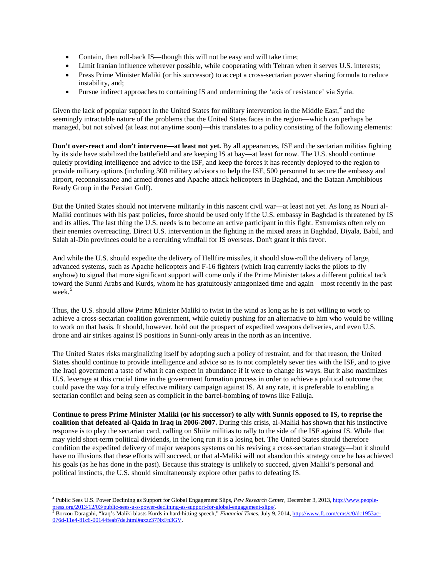- Contain, then roll-back IS—though this will not be easy and will take time;
- Limit Iranian influence wherever possible, while cooperating with Tehran when it serves U.S. interests;
- Press Prime Minister Maliki (or his successor) to accept a cross-sectarian power sharing formula to reduce instability, and;
- Pursue indirect approaches to containing IS and undermining the 'axis of resistance' via Syria.

Given the lack of popular support in the United States for military intervention in the Middle East,<sup>[4](#page-2-0)</sup> and the seemingly intractable nature of the problems that the United States faces in the region—which can perhaps be managed, but not solved (at least not anytime soon)—this translates to a policy consisting of the following elements:

**Don't over-react and don't intervene—at least not yet.** By all appearances, ISF and the sectarian militias fighting by its side have stabilized the battlefield and are keeping IS at bay—at least for now. The U.S. should continue quietly providing intelligence and advice to the ISF, and keep the forces it has recently deployed to the region to provide military options (including 300 military advisors to help the ISF, 500 personnel to secure the embassy and airport, reconnaissance and armed drones and Apache attack helicopters in Baghdad, and the Bataan Amphibious Ready Group in the Persian Gulf).

But the United States should not intervene militarily in this nascent civil war—at least not yet. As long as Nouri al-Maliki continues with his past policies, force should be used only if the U.S. embassy in Baghdad is threatened by IS and its allies. The last thing the U.S. needs is to become an active participant in this fight. Extremists often rely on their enemies overreacting. Direct U.S. intervention in the fighting in the mixed areas in Baghdad, Diyala, Babil, and Salah al-Din provinces could be a recruiting windfall for IS overseas. Don't grant it this favor.

And while the U.S. should expedite the delivery of Hellfire missiles, it should slow-roll the delivery of large, advanced systems, such as Apache helicopters and F-16 fighters (which Iraq currently lacks the pilots to fly anyhow) to signal that more significant support will come only if the Prime Minister takes a different political tack toward the Sunni Arabs and Kurds, whom he has gratuitously antagonized time and again—most recently in the past week. [5](#page-2-1)

Thus, the U.S. should allow Prime Minister Maliki to twist in the wind as long as he is not willing to work to achieve a cross-sectarian coalition government, while quietly pushing for an alternative to him who would be willing to work on that basis. It should, however, hold out the prospect of expedited weapons deliveries, and even U.S. drone and air strikes against IS positions in Sunni-only areas in the north as an incentive.

The United States risks marginalizing itself by adopting such a policy of restraint, and for that reason, the United States should continue to provide intelligence and advice so as to not completely sever ties with the ISF, and to give the Iraqi government a taste of what it can expect in abundance if it were to change its ways. But it also maximizes U.S. leverage at this crucial time in the government formation process in order to achieve a political outcome that could pave the way for a truly effective military campaign against IS. At any rate, it is preferable to enabling a sectarian conflict and being seen as complicit in the barrel-bombing of towns like Falluja.

**Continue to press Prime Minister Maliki (or his successor) to ally with Sunnis opposed to IS, to reprise the coalition that defeated al-Qaida in Iraq in 2006-2007.** During this crisis, al-Maliki has shown that his instinctive response is to play the sectarian card, calling on Shiite militias to rally to the side of the ISF against IS. While that may yield short-term political dividends, in the long run it is a losing bet. The United States should therefore condition the expedited delivery of major weapons systems on his reviving a cross-sectarian strategy—but it should have no illusions that these efforts will succeed, or that al-Maliki will not abandon this strategy once he has achieved his goals (as he has done in the past). Because this strategy is unlikely to succeed, given Maliki's personal and political instincts, the U.S. should simultaneously explore other paths to defeating IS.

<span id="page-2-0"></span> $\overline{\phantom{a}}$ <sup>4</sup> Public Sees U.S. Power Declining as Support for Global Engagement Slips, *Pew Research Center*, December 3, 2013, <u>http://www.people-press.org/2013/12/03/public-sees-u-s-power-declining-as-support-for-global-engagement</u>

<span id="page-2-1"></span>Borzou Daragahi, "Iraq's Maliki blasts Kurds in hard-hitting speech," Financial Times, July 9, 2014, http://www.ft.com/cms/s/0/dc19[5](http://www.people-press.org/2013/12/03/public-sees-u-s-power-declining-as-support-for-global-engagement-slips/)3ac-[076d-11e4-81c6-00144feab7de.html#axzz37NxFn3GV.](http://www.ft.com/cms/s/0/dc1953ac-076d-11e4-81c6-00144feab7de.html#axzz37NxFn3GV)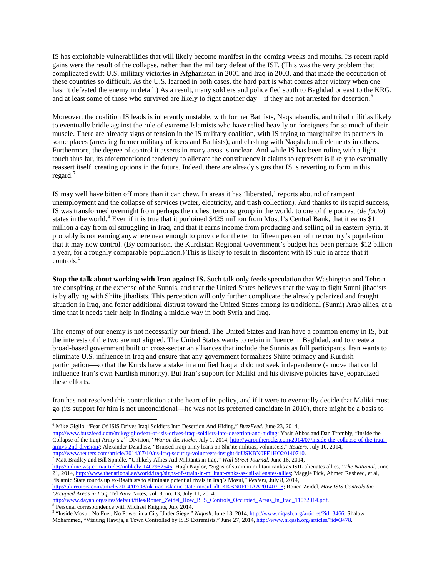IS has exploitable vulnerabilities that will likely become manifest in the coming weeks and months. Its recent rapid gains were the result of the collapse, rather than the military defeat of the ISF. (This was the very problem that complicated swift U.S. military victories in Afghanistan in 2001 and Iraq in 2003, and that made the occupation of these countries so difficult. As the U.S. learned in both cases, the hard part is what comes after victory when one hasn't defeated the enemy in detail.) As a result, many soldiers and police fled south to Baghdad or east to the KRG, and at least some of those who survived are likely to fight another day—if they are not arrested for desertion.<sup>[6](#page-3-0)</sup>

Moreover, the coalition IS leads is inherently unstable, with former Bathists, Naqshabandis, and tribal militias likely to eventually bridle against the rule of extreme Islamists who have relied heavily on foreigners for so much of their muscle. There are already signs of tension in the IS military coalition, with IS trying to marginalize its partners in some places (arresting former military officers and Bathists), and clashing with Naqshabandi elements in others. Furthermore, the degree of control it asserts in many areas is unclear. And while IS has been ruling with a light touch thus far, its aforementioned tendency to alienate the constituency it claims to represent is likely to eventually reassert itself, creating options in the future. Indeed, there are already signs that IS is reverting to form in this regard. $7$ 

IS may well have bitten off more than it can chew. In areas it has 'liberated,' reports abound of rampant unemployment and the collapse of services (water, electricity, and trash collection). And thanks to its rapid success, IS was transformed overnight from perhaps the richest terrorist group in the world, to one of the poorest (*de facto*) states in the world.<sup>[8](#page-3-2)</sup> Even if it is true that it purloined \$425 million from Mosul's Central Bank, that it earns \$1 million a day from oil smuggling in Iraq, and that it earns income from producing and selling oil in eastern Syria, it probably is not earning anywhere near enough to provide for the ten to fifteen percent of the country's population that it may now control. (By comparison, the Kurdistan Regional Government's budget has been perhaps \$12 billion a year, for a roughly comparable population.) This is likely to result in discontent with IS rule in areas that it controls.<sup>[9](#page-3-3)</sup>

**Stop the talk about working with Iran against IS.** Such talk only feeds speculation that Washington and Tehran are conspiring at the expense of the Sunnis, and that the United States believes that the way to fight Sunni jihadists is by allying with Shiite jihadists. This perception will only further complicate the already polarized and fraught situation in Iraq, and foster additional distrust toward the United States among its traditional (Sunni) Arab allies, at a time that it needs their help in finding a middle way in both Syria and Iraq.

The enemy of our enemy is not necessarily our friend. The United States and Iran have a common enemy in IS, but the interests of the two are not aligned. The United States wants to retain influence in Baghdad, and to create a broad-based government built on cross-sectarian alliances that include the Sunnis as full participants. Iran wants to eliminate U.S. influence in Iraq and ensure that any government formalizes Shiite primacy and Kurdish participation—so that the Kurds have a stake in a unified Iraq and do not seek independence (a move that could influence Iran's own Kurdish minority). But Iran's support for Maliki and his divisive policies have jeopardized these efforts.

Iran has not resolved this contradiction at the heart of its policy, and if it were to eventually decide that Maliki must go (its support for him is not unconditional—he was not its preferred candidate in 2010), there might be a basis to

<span id="page-3-0"></span>[http://www.buzzfeed.com/mikegiglio/fear-of-isis-drives-iraqi-soldiers-into-desertion-and-hiding;](http://www.buzzfeed.com/mikegiglio/fear-of-isis-drives-iraqi-soldiers-into-desertion-and-hiding) Yasir Abbas and Dan Trombly, "Inside the Collapse of the Iraqi Army's 2nd Division," *War on the Rocks*, July 1, 2014[, http://warontherocks.com/2014/07/inside-the-collapse-of-the-iraqi](http://warontherocks.com/2014/07/inside-the-collapse-of-the-iraqi-armys-2nd-division/)[armys-2nd-division/;](http://warontherocks.com/2014/07/inside-the-collapse-of-the-iraqi-armys-2nd-division/) Alexander Dziadosz, "Bruised Iraqi army leans on Shi'ite militias, volunteers," *Reuters*, July 10, 2014, [http://www.reuters.com/article/2014/07/10/us-iraq-security-volunteers-insight-idUSKBN0FF1HO20140710.](http://www.reuters.com/article/2014/07/10/us-iraq-security-volunteers-insight-idUSKBN0FF1HO20140710) <sup>7</sup> Matt Bradley and Bill Spindle, "Unlikely Allies Aid Militants in Iraq," *Wall Street Journal*, June 16, 2014,

<span id="page-3-1"></span>[http://online.wsj.com/articles/unlikely-1402962546;](http://online.wsj.com/articles/unlikely-1402962546) Hugh Naylor, "Signs of strain in militant ranks as ISIL alienates allies," *The National*, June 21, 2014[, http://www.thenational.ae/world/iraq/signs-of-strain-in-militant-ranks-as-isil-alienates-allies;](http://www.thenational.ae/world/iraq/signs-of-strain-in-militant-ranks-as-isil-alienates-allies) Maggie Fick, Ahmed Rasheed, et al, "Islamic State rounds up ex-Baathists to eliminate potential rivals in Iraq's Mosul," *Reuters*, July 8, 2014,

[http://www.dayan.org/sites/default/files/Ronen\\_Zeidel\\_How\\_ISIS\\_Controls\\_Occupied\\_Areas\\_In\\_Iraq\\_11072014.pdf.](http://www.dayan.org/sites/default/files/Ronen_Zeidel_How_ISIS_Controls_Occupied_Areas_In_Iraq_11072014.pdf) 8 Personal correspondence with Michael Knights, July 2014.

 $\overline{\phantom{a}}$ 

<sup>6</sup> Mike Giglio, "Fear Of ISIS Drives Iraqi Soldiers Into Desertion And Hiding," *BuzzFeed*, June 23, 2014,

[http://uk.reuters.com/article/2014/07/08/uk-iraq-islamic-state-mosul-idUKKBN0FD1AA20140708;](http://uk.reuters.com/article/2014/07/08/uk-iraq-islamic-state-mosul-idUKKBN0FD1AA20140708) Ronen Zeidel, *How ISIS Controls the Occupied Areas in Iraq*, Tel Aviv Notes, vol. 8, no. 13, July 11, 2014,

<span id="page-3-3"></span><span id="page-3-2"></span><sup>9</sup> "Inside Mosul: No Fuel, No Power in a City Under Siege," *Niqash*, June 18, 2014[, http://www.niqash.org/articles/?id=3466;](http://www.niqash.org/articles/?id=3466) Shalaw Mohammed, "Visiting Hawija, a Town Controlled by ISIS Extremists," June 27, 2014[, http://www.niqash.org/articles/?id=3478.](http://www.niqash.org/articles/?id=3478)